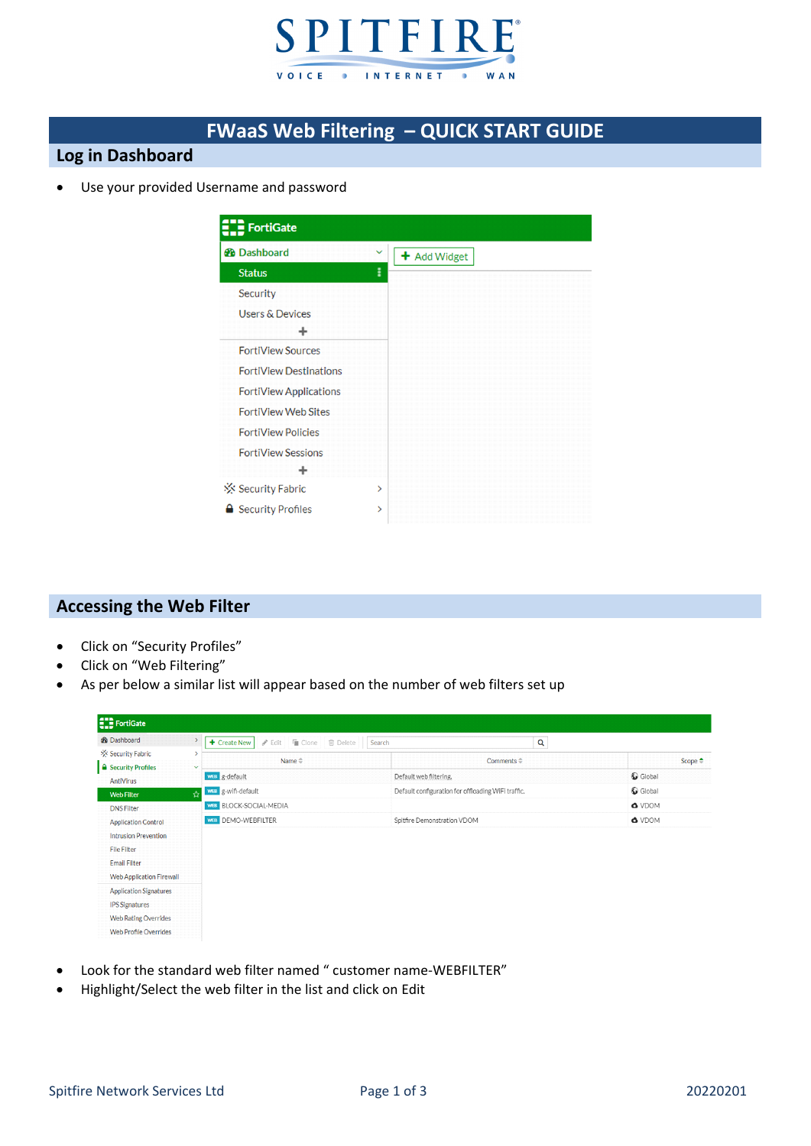

# **FWaaS Web Filtering – QUICK START GUIDE**

### **Log in Dashboard**

Use your provided Username and password

| <b>FortiGate</b>              |              |
|-------------------------------|--------------|
| <b>B</b> Dashboard            | $\checkmark$ |
| <b>Status</b>                 | I            |
| Security                      |              |
| <b>Users &amp; Devices</b>    |              |
| ÷                             |              |
| <b>FortiView Sources</b>      |              |
| <b>FortiView Destinations</b> |              |
| <b>FortiView Applications</b> |              |
| <b>FortiView Web Sites</b>    |              |
| <b>FortiView Policies</b>     |              |
| <b>FortiView Sessions</b>     |              |
|                               |              |
| ※ Security Fabric             | ⋟            |
| <b>△</b> Security Profiles    | ⋟            |

#### **Accessing the Web Filter**

- Click on "Security Profiles"
- Click on "Web Filtering"
- As per below a similar list will appear based on the number of web filters set up

| <b>ED</b> FortiGate             |              |                                                            |                             |                                                    |                   |
|---------------------------------|--------------|------------------------------------------------------------|-----------------------------|----------------------------------------------------|-------------------|
| <b>2</b> Dashboard              |              | <b>∕</b> Edit   ■ Clone<br><b>自</b> Delete<br>+ Create New | Search                      | Q                                                  |                   |
| ☆ Security Fabric               |              | Name $\triangleq$                                          |                             | Comments $\Leftrightarrow$                         |                   |
| <b>A</b> Security Profiles      | $\checkmark$ |                                                            |                             |                                                    | Scope $\triangle$ |
| AntiVirus                       |              | <b>WEB</b> g-default                                       | Default web filtering.      |                                                    | Global            |
| <b>Web Filter</b>               | ☆            | WEB g-wifi-default                                         |                             | Default configuration for offloading WiFi traffic. | Global            |
| <b>DNS Filter</b>               |              | WEB BLOCK-SOCIAL-MEDIA                                     |                             |                                                    | <b>O</b> VDOM     |
| <b>Application Control</b>      |              | WEB DEMO-WEBFILTER                                         | Spitfire Demonstration VDOM |                                                    | O VDOM            |
| <b>Intrusion Prevention</b>     |              |                                                            |                             |                                                    |                   |
| <b>File Filter</b>              |              |                                                            |                             |                                                    |                   |
| <b>Email Filter</b>             |              |                                                            |                             |                                                    |                   |
| <b>Web Application Firewall</b> |              |                                                            |                             |                                                    |                   |
| <b>Application Signatures</b>   |              |                                                            |                             |                                                    |                   |
| <b>IPS Signatures</b>           |              |                                                            |                             |                                                    |                   |
| <b>Web Rating Overrides</b>     |              |                                                            |                             |                                                    |                   |
| <b>Web Profile Overrides</b>    |              |                                                            |                             |                                                    |                   |

- Look for the standard web filter named " customer name‐WEBFILTER"
- Highlight/Select the web filter in the list and click on Edit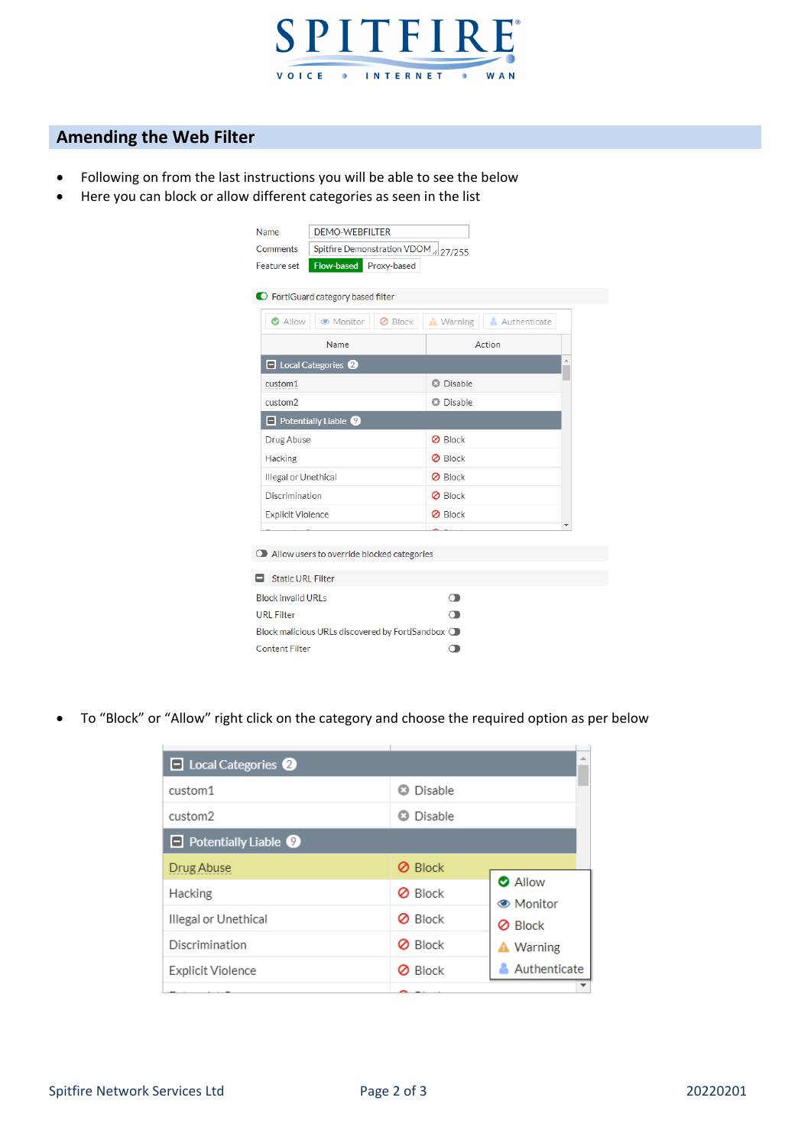

## **Amending the Web Filter**

- Following on from the last instructions you will be able to see the below
- Here you can block or allow different categories as seen in the list

| Name                                                       | <b>DEMO-WEBFILTER</b>                                 |                           |  |  |  |
|------------------------------------------------------------|-------------------------------------------------------|---------------------------|--|--|--|
| Comments                                                   | Spitfire Demonstration VDOM 27/255                    |                           |  |  |  |
| Flow-based Proxy-based<br>Feature set                      |                                                       |                           |  |  |  |
|                                                            |                                                       |                           |  |  |  |
| C FortiGuard category based filter                         |                                                       |                           |  |  |  |
| Allow                                                      | ● Monitor<br><b>Ø</b> Block                           | A Warning<br>Authenticate |  |  |  |
| Name                                                       |                                                       | Action                    |  |  |  |
|                                                            | $\Box$ Local Categories $\odot$                       |                           |  |  |  |
| custom1                                                    |                                                       | <b>3</b> Disable          |  |  |  |
| custom2                                                    |                                                       | <b>a</b> Disable          |  |  |  |
|                                                            | $\Box$ Potentially Liable $\odot$                     |                           |  |  |  |
| Drug Abuse                                                 |                                                       | <b>Ø</b> Block            |  |  |  |
| Hacking                                                    |                                                       | <b>Ø</b> Block            |  |  |  |
| Illegal or Unethical                                       |                                                       | <b>Ø</b> Block            |  |  |  |
| Discrimination                                             |                                                       | <b>Ø</b> Block            |  |  |  |
| Explicit Violence                                          |                                                       | <b>Ø</b> Block            |  |  |  |
|                                                            |                                                       |                           |  |  |  |
|                                                            | $\bigcirc$ Allow users to override blocked categories |                           |  |  |  |
|                                                            | <b>Static URL Filter</b>                              |                           |  |  |  |
|                                                            |                                                       |                           |  |  |  |
| <b>Block invalid URLs</b>                                  |                                                       | റ                         |  |  |  |
| <b>URL Filter</b><br>◠                                     |                                                       |                           |  |  |  |
| Block malicious URLs discovered by FortiSandbox $\bigcirc$ |                                                       |                           |  |  |  |
| <b>Content Filter</b>                                      |                                                       |                           |  |  |  |
|                                                            |                                                       |                           |  |  |  |

To "Block" or "Allow" right click on the category and choose the required option as per below

| $\Box$ Local Categories $\odot$   |                | 业                                |
|-----------------------------------|----------------|----------------------------------|
| custom1                           | Disable<br>Ω   |                                  |
| custom2                           | Disable<br>Ø.  |                                  |
| $\Box$ Potentially Liable $\odot$ |                |                                  |
| Drug Abuse                        | <b>Ø</b> Block |                                  |
| Hacking                           | <b>Ø</b> Block | <b>O</b> Allow<br><b>Monitor</b> |
| Illegal or Unethical              | <b>Ø</b> Block | <b>Ø</b> Block                   |
| Discrimination                    | <b>Ø</b> Block | <b>A</b> Warning                 |
| Explicit Violence                 | <b>Ø</b> Block | Authenticate                     |
|                                   |                |                                  |